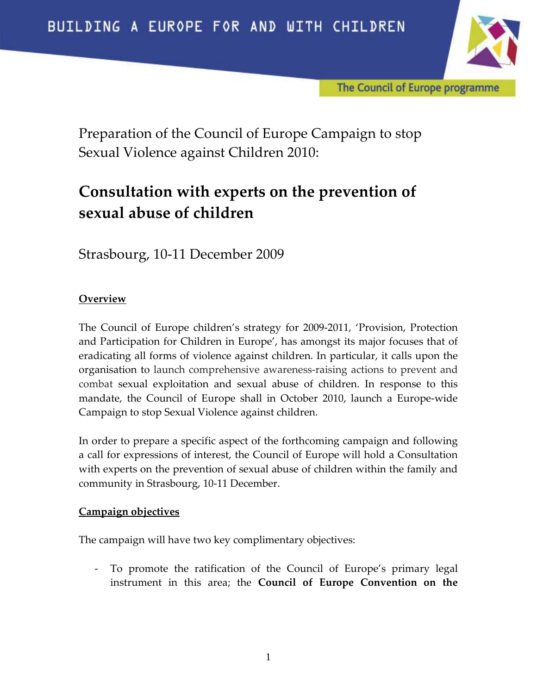

The Council of Europe programme

Preparation of the Council of Europe Campaign to stop Sexual Violence against Children 2010:

# Consultation with experts on the prevention of sexual abuse of children

Strasbourg, 10-11 December 2009

# **Overview**

The Council of Europe children's strategy for 2009-2011, 'Provision, Protection and Participation for Children in Europe', has amongst its major focuses that of eradicating all forms of violence against children. In particular, it calls upon the organisation to launch comprehensive awareness-raising actions to prevent and combat sexual exploitation and sexual abuse of children. In response to this mandate, the Council of Europe shall in October 2010, launch a Europe-wide Campaign to stop Sexual Violence against children.

In order to prepare a specific aspect of the forthcoming campaign and following a call for expressions of interest, the Council of Europe will hold a Consultation with experts on the prevention of sexual abuse of children within the family and community in Strasbourg, 10-11 December.

## Campaign objectives

The campaign will have two key complimentary objectives:

- To promote the ratification of the Council of Europe's primary legal instrument in this area; the Council of Europe Convention on the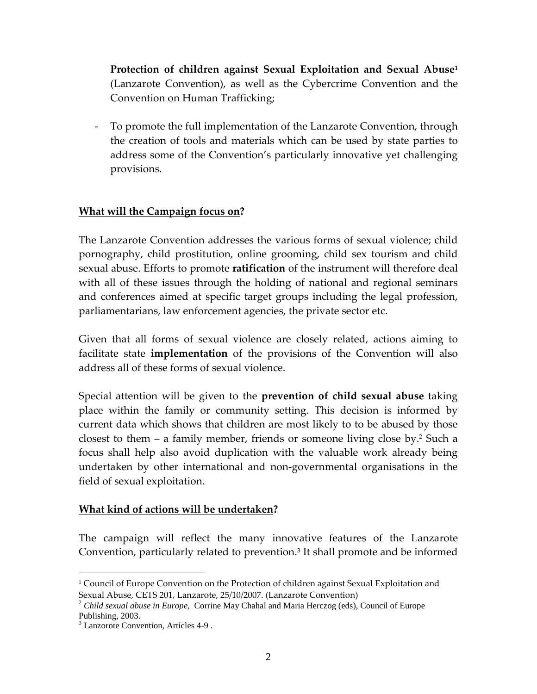Protection of children against Sexual Exploitation and Sexual Abuse<sup>1</sup> (Lanzarote Convention), as well as the Cybercrime Convention and the Convention on Human Trafficking;

- To promote the full implementation of the Lanzarote Convention, through the creation of tools and materials which can be used by state parties to address some of the Convention's particularly innovative yet challenging provisions.

# What will the Campaign focus on?

The Lanzarote Convention addresses the various forms of sexual violence; child pornography, child prostitution, online grooming, child sex tourism and child sexual abuse. Efforts to promote **ratification** of the instrument will therefore deal with all of these issues through the holding of national and regional seminars and conferences aimed at specific target groups including the legal profession, parliamentarians, law enforcement agencies, the private sector etc.

Given that all forms of sexual violence are closely related, actions aiming to facilitate state **implementation** of the provisions of the Convention will also address all of these forms of sexual violence.

Special attention will be given to the prevention of child sexual abuse taking place within the family or community setting. This decision is informed by current data which shows that children are most likely to to be abused by those closest to them – a family member, friends or someone living close by.<sup>2</sup> Such a focus shall help also avoid duplication with the valuable work already being undertaken by other international and non-governmental organisations in the field of sexual exploitation.

## What kind of actions will be undertaken?

The campaign will reflect the many innovative features of the Lanzarote Convention, particularly related to prevention.<sup>3</sup> It shall promote and be informed

 $\overline{a}$ 

<sup>1</sup> Council of Europe Convention on the Protection of children against Sexual Exploitation and Sexual Abuse, CETS 201, Lanzarote, 25/10/2007. (Lanzarote Convention)

<sup>2</sup> *Child sexual abuse in Europe*, Corrine May Chahal and Maria Herczog (eds), Council of Europe Publishing, 2003.

<sup>3</sup> Lanzorote Convention, Articles 4-9 .